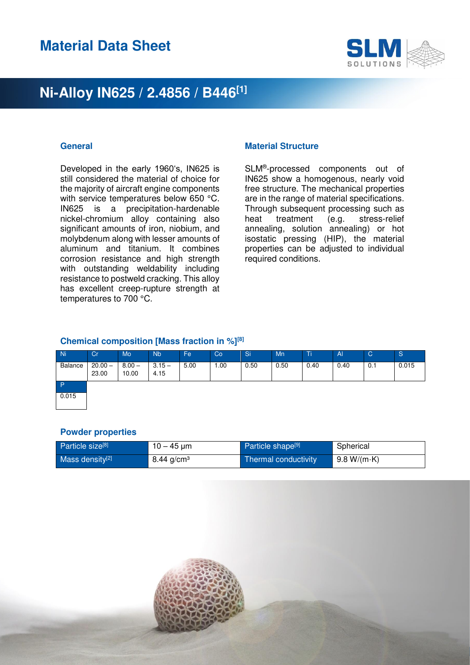

Developed in the early 1960's, IN625 is still considered the material of choice for the majority of aircraft engine components with service temperatures below 650 °C. IN625 is a precipitation-hardenable nickel-chromium alloy containing also significant amounts of iron, niobium, and molybdenum along with lesser amounts of aluminum and titanium. It combines corrosion resistance and high strength with outstanding weldability including resistance to postweld cracking. This alloy has excellent creep-rupture strength at temperatures to 700 °C.

### **General Contract Contract Contract Contract Contract Contract Contract Contract Contract Contract Contract Contract Contract Contract Contract Contract Contract Contract Contract Contract Contract Contract Contract Contra**

SLM® -processed components out of IN625 show a homogenous, nearly void free structure. The mechanical properties are in the range of material specifications. Through subsequent processing such as heat treatment (e.g. stress-relief annealing, solution annealing) or hot isostatic pressing (HIP), the material properties can be adjusted to individual required conditions.

### **Chemical composition [Mass fraction in %][8]**

| <b>Ni</b>    | Cr                 | Mo                | <b>Nb</b>        | Fe   | Co    | Si   | Mn   | Ti   | $\mathsf{A}$ | $\mathsf{C}$ | <sub>S</sub> |
|--------------|--------------------|-------------------|------------------|------|-------|------|------|------|--------------|--------------|--------------|
| Balance      | $20.00 -$<br>23.00 | $8.00 -$<br>10.00 | $3.15 -$<br>4.15 | 5.00 | 00. ا | 0.50 | 0.50 | 0.40 | 0.40         | 0.1          | 0.015        |
| $\mathsf{P}$ |                    |                   |                  |      |       |      |      |      |              |              |              |
| 0.015        |                    |                   |                  |      |       |      |      |      |              |              |              |

#### **Powder properties**

| Particle size <sup>[8]</sup> | 10 – 45 µm   | Particle shape <sup>[9]</sup> | Spherical           |
|------------------------------|--------------|-------------------------------|---------------------|
| Mass density <sup>[2]</sup>  | 8.44 $g/cm3$ | Thermal conductivity          | 9.8 W/(m $\cdot$ K) |

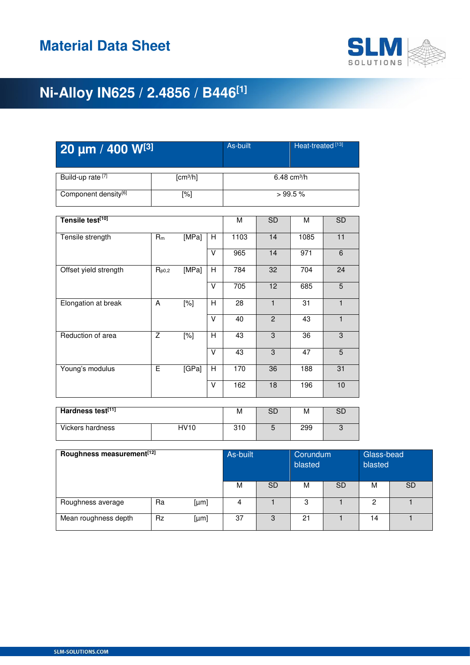

| 20 µm / 400 W[3]                 | As-built             |                 |                | Heat-treated <sup>[13]</sup> |                           |                 |                 |  |  |  |
|----------------------------------|----------------------|-----------------|----------------|------------------------------|---------------------------|-----------------|-----------------|--|--|--|
| Build-up rate <sup>[7]</sup>     | [cm <sup>3</sup> /h] |                 |                |                              | $6.48$ cm <sup>3</sup> /h |                 |                 |  |  |  |
| Component density <sup>[6]</sup> |                      | [%]             |                |                              | >99.5%                    |                 |                 |  |  |  |
| Tensile test <sup>[10]</sup>     | M                    | $\overline{SD}$ | M              | <b>SD</b>                    |                           |                 |                 |  |  |  |
| Tensile strength                 | $R_m$                | [MPa]           | н              | 1103                         | 14                        | 1085            | 11              |  |  |  |
|                                  |                      |                 | $\vee$         | 965                          | $\overline{14}$           | 971             | $\overline{6}$  |  |  |  |
| Offset yield strength            | $R_{p0,2}$           | [MPa]           | H              | 784                          | 32                        | 704             | 24              |  |  |  |
|                                  |                      |                 | V              | $\overline{705}$             | $\overline{12}$           | 685             | $\overline{5}$  |  |  |  |
| Elongation at break              | A                    | $[\%]$          | $\overline{H}$ | 28                           | $\mathbf{1}$              | $\overline{31}$ | $\mathbf{1}$    |  |  |  |
|                                  |                      |                 | $\vee$         | 40                           | 2                         | 43              | $\mathbf{1}$    |  |  |  |
| Reduction of area                | $\overline{Z}$       | $[\%]$          | H              | 43                           | 3                         | $\overline{36}$ | 3               |  |  |  |
|                                  |                      |                 | V              | 43                           | $\overline{3}$            | 47              | 5               |  |  |  |
| Young's modulus                  | E                    | [GPa]           | H              | 170                          | $\overline{36}$           | 188             | $\overline{31}$ |  |  |  |
|                                  |                      |                 | $\vee$         | 162                          | $\overline{18}$           | 196             | 10              |  |  |  |
| Hardness test[11]                |                      |                 |                | M                            | <b>SD</b>                 | M               | <b>SD</b>       |  |  |  |
| Vickers hardness                 |                      | <b>HV10</b>     |                | $\overline{310}$             | 5                         | 299             | $\overline{3}$  |  |  |  |

| Roughness measurement <sup>[12]</sup> | As-built  |      | Corundum<br>blasted |           | Glass-bead<br>blasted |           |    |           |
|---------------------------------------|-----------|------|---------------------|-----------|-----------------------|-----------|----|-----------|
|                                       |           |      | M                   | <b>SD</b> | M                     | <b>SD</b> | м  | <b>SD</b> |
| Roughness average                     | Ra        | [µm] | 4                   |           | 3                     |           | 0  |           |
| Mean roughness depth                  | <b>Rz</b> | [µm] | 37                  | 3         | 21                    |           | 14 |           |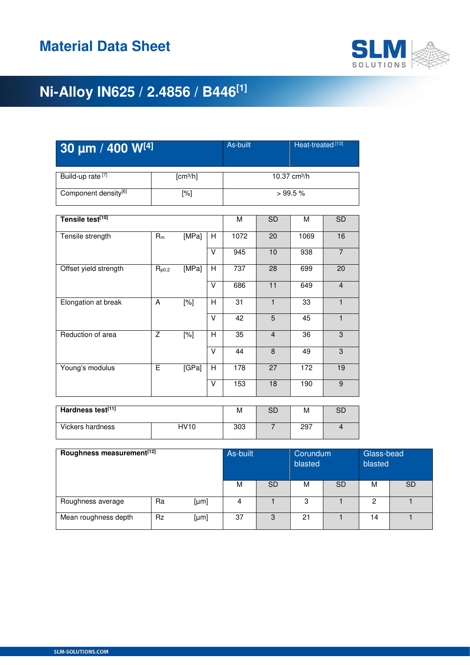

| 30 µm / 400 W[4]                 |                |                      |        |                          | Heat-treated <sup>[13]</sup><br>As-built |                 |                |  |  |
|----------------------------------|----------------|----------------------|--------|--------------------------|------------------------------------------|-----------------|----------------|--|--|
| Build-up rate <sup>[7]</sup>     |                | [cm <sup>3</sup> /h] |        | 10.37 cm <sup>3</sup> /h |                                          |                 |                |  |  |
| Component density <sup>[6]</sup> |                | $[\%]$               |        |                          | >99.5%                                   |                 |                |  |  |
| Tensile test <sup>[10]</sup>     |                |                      |        |                          | <b>SD</b>                                | M               | <b>SD</b>      |  |  |
| Tensile strength                 | $R_m$          | [MPa]                | H      | 1072                     | 20                                       | 1069            | 16             |  |  |
|                                  |                |                      | V      | $\overline{945}$         | 10                                       | 938             | $\overline{7}$ |  |  |
| Offset yield strength            | $R_{p0,2}$     | [MPa]                | H      | 737                      | 28                                       | 699             | 20             |  |  |
|                                  |                |                      | V      | 686                      | 11                                       | 649             | $\overline{4}$ |  |  |
| Elongation at break              | A              | $[\%]$               | H      | $\overline{31}$          | $\mathbf{1}$                             | 33              | $\mathbf{1}$   |  |  |
|                                  |                |                      | $\vee$ | $\overline{42}$          | $\overline{5}$                           | 45              | $\overline{1}$ |  |  |
| Reduction of area                | Z              | $\overline{[%]}$     | H      | $\overline{35}$          | $\overline{4}$                           | $\overline{36}$ | $\overline{3}$ |  |  |
|                                  |                |                      | V      | 44                       | 8                                        | 49              | $\overline{3}$ |  |  |
| Young's modulus                  | $\overline{E}$ | [GPa]                | H      | 178                      | 27                                       | 172             | 19             |  |  |
|                                  |                |                      | V      | 153                      | 18                                       | 190             | $\overline{9}$ |  |  |
| Hardness test <sup>[11]</sup>    |                |                      |        | M                        | <b>SD</b>                                | M               | <b>SD</b>      |  |  |
|                                  |                |                      |        |                          |                                          |                 |                |  |  |
| Vickers hardness                 |                | <b>HV10</b>          |        | 303                      | $\overline{7}$                           | 297             | $\overline{4}$ |  |  |

| Roughness measurement <sup>[12]</sup> | As-built  |      | Corundum<br>blasted |           | Glass-bead<br>blasted |           |    |           |
|---------------------------------------|-----------|------|---------------------|-----------|-----------------------|-----------|----|-----------|
|                                       |           |      | M                   | <b>SD</b> | M                     | <b>SD</b> | м  | <b>SD</b> |
| Roughness average                     | Ra        | [µm] | 4                   |           | 3                     |           | o  |           |
| Mean roughness depth                  | <b>Rz</b> | [µm] | 37                  | 3         | 21                    |           | 14 |           |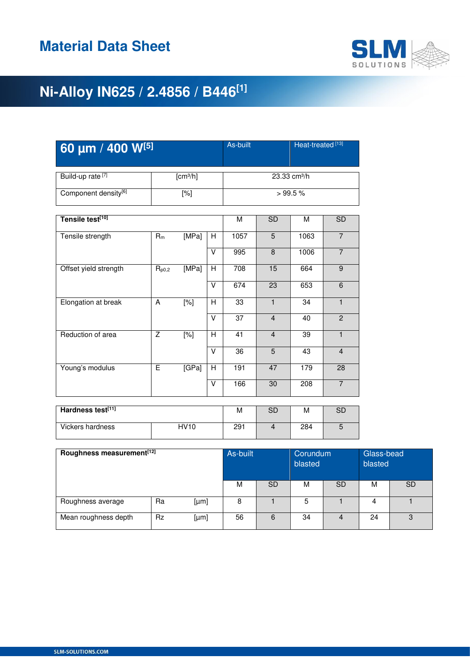

| 60 µm / 400 W[5]             |                |                      |                         |                          | Heat-treated <sup>[13]</sup><br>As-built |                  |                |  |  |
|------------------------------|----------------|----------------------|-------------------------|--------------------------|------------------------------------------|------------------|----------------|--|--|
| Build-up rate <sup>[7]</sup> |                | [cm <sup>3</sup> /h] |                         | 23.33 cm <sup>3</sup> /h |                                          |                  |                |  |  |
| Component density[6]         |                | $[\%]$               |                         |                          | >99.5%                                   |                  |                |  |  |
| Tensile test <sup>[10]</sup> |                |                      |                         | M                        | <b>SD</b>                                | М                | <b>SD</b>      |  |  |
| Tensile strength             | $R_m$          | [MPa]                | H                       | 1057                     | 5                                        | 1063             | $\overline{7}$ |  |  |
|                              |                |                      | V                       | 995                      | 8                                        | 1006             | $\overline{7}$ |  |  |
| Offset yield strength        | $R_{p0,2}$     | [MPa]                | H                       | 708                      | 15                                       | 664              | $\overline{9}$ |  |  |
|                              |                |                      | V                       | 674                      | 23                                       | 653              | 6              |  |  |
| Elongation at break          | A              | $[\%]$               | H                       | 33                       | $\mathbf{1}$                             | 34               | $\mathbf{1}$   |  |  |
|                              |                |                      | $\vee$                  | $\overline{37}$          | $\overline{4}$                           | 40               | $\overline{2}$ |  |  |
| Reduction of area            | $\overline{z}$ | $\overline{[%]}$     | H                       | $\overline{41}$          | $\overline{4}$                           | $\overline{39}$  | $\mathbf{1}$   |  |  |
|                              |                |                      | $\vee$                  | $\overline{36}$          | $\overline{5}$                           | 43               | $\overline{4}$ |  |  |
| Young's modulus              | E              | [GPa]                | H                       | 191                      | 47                                       | 179              | 28             |  |  |
|                              |                |                      | $\overline{\mathsf{v}}$ | 166                      | 30                                       | $\overline{208}$ | $\overline{7}$ |  |  |
| Hardness test[11]            |                |                      |                         |                          |                                          |                  |                |  |  |
|                              |                |                      |                         | M                        | <b>SD</b>                                | м                | <b>SD</b>      |  |  |
| <b>Vickers hardness</b>      |                | <b>HV10</b>          |                         | 291                      | $\overline{4}$                           | 284              | $\overline{5}$ |  |  |

| Roughness measurement <sup>[12]</sup> | As-built  |      | Corundum<br>blasted |           | Glass-bead<br>blasted |           |    |           |
|---------------------------------------|-----------|------|---------------------|-----------|-----------------------|-----------|----|-----------|
|                                       |           |      | M                   | <b>SD</b> | м                     | <b>SD</b> | м  | <b>SD</b> |
| Roughness average                     | Ra        | [µm] | 8                   |           | 5                     |           |    |           |
| Mean roughness depth                  | <b>Rz</b> | [µm] | 56                  | 6         | 34                    | 4         | 24 | 3         |